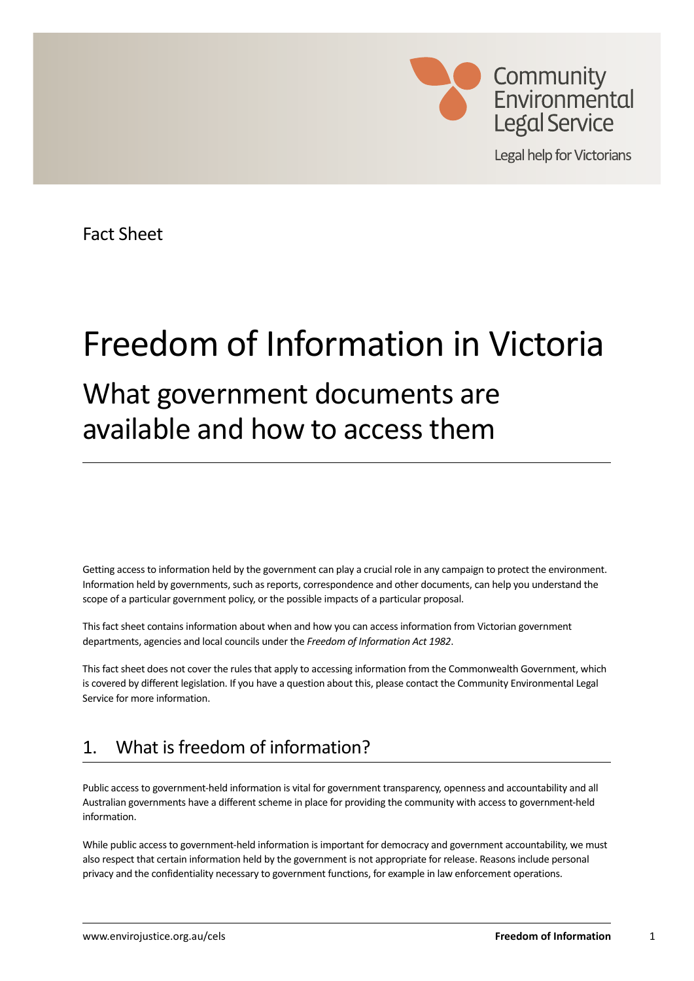

**Legal help for Victorians** 

Fact Sheet

# Freedom of Information in Victoria

## What government documents are available and how to access them

Getting access to information held by the government can play a crucial role in any campaign to protect the environment. Information held by governments, such as reports, correspondence and other documents, can help you understand the scope of a particular government policy, or the possible impacts of a particular proposal.

This fact sheet contains information about when and how you can access information from Victorian government departments, agencies and local councils under the *Freedom of Information Act 1982*.

This fact sheet does not cover the rules that apply to accessing information from the Commonwealth Government, which is covered by different legislation. If you have a question about this, please contact the Community Environmental Legal Service for more information.

## 1. What is freedom of information?

Public access to government-held information is vital for government transparency, openness and accountability and all Australian governments have a different scheme in place for providing the community with access to government-held information.

While public access to government-held information is important for democracy and government accountability, we must also respect that certain information held by the government is not appropriate for release. Reasons include personal privacy and the confidentiality necessary to government functions, for example in law enforcement operations.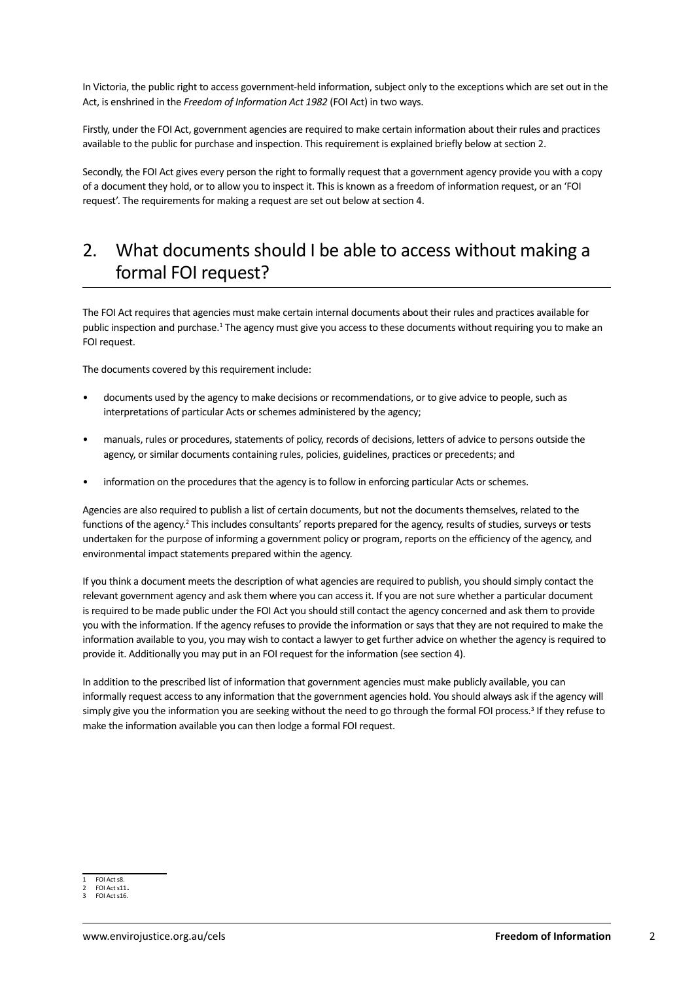In Victoria, the public right to access government-held information, subject only to the exceptions which are set out in the Act, is enshrined in the *Freedom of Information Act 1982* (FOI Act) in two ways.

Firstly, under the FOI Act, government agencies are required to make certain information about their rules and practices available to the public for purchase and inspection. This requirement is explained briefly below at section 2.

Secondly, the FOI Act gives every person the right to formally request that a government agency provide you with a copy of a document they hold, or to allow you to inspect it. This is known as a freedom of information request, or an 'FOI request'. The requirements for making a request are set out below at section 4.

## 2. What documents should I be able to access without making a formal FOI request?

The FOI Act requires that agencies must make certain internal documents about their rules and practices available for public inspection and purchase.<sup>1</sup> The agency must give you access to these documents without requiring you to make an FOI request.

The documents covered by this requirement include:

- documents used by the agency to make decisions or recommendations, or to give advice to people, such as interpretations of particular Acts or schemes administered by the agency;
- manuals, rules or procedures, statements of policy, records of decisions, letters of advice to persons outside the agency, or similar documents containing rules, policies, guidelines, practices or precedents; and
- information on the procedures that the agency is to follow in enforcing particular Acts or schemes.

Agencies are also required to publish a list of certain documents, but not the documents themselves, related to the functions of the agency.<sup>2</sup> This includes consultants' reports prepared for the agency, results of studies, surveys or tests undertaken for the purpose of informing a government policy or program, reports on the efficiency of the agency, and environmental impact statements prepared within the agency.

If you think a document meets the description of what agencies are required to publish, you should simply contact the relevant government agency and ask them where you can access it. If you are not sure whether a particular document is required to be made public under the FOI Act you should still contact the agency concerned and ask them to provide you with the information. If the agency refuses to provide the information or says that they are not required to make the information available to you, you may wish to contact a lawyer to get further advice on whether the agency is required to provide it. Additionally you may put in an FOI request for the information (see section 4).

In addition to the prescribed list of information that government agencies must make publicly available, you can informally request access to any information that the government agencies hold. You should always ask if the agency will simply give you the information you are seeking without the need to go through the formal FOI process.<sup>3</sup> If they refuse to make the information available you can then lodge a formal FOI request.

FOI Act s8.

FOI Act s11. 3 FOI Act s16.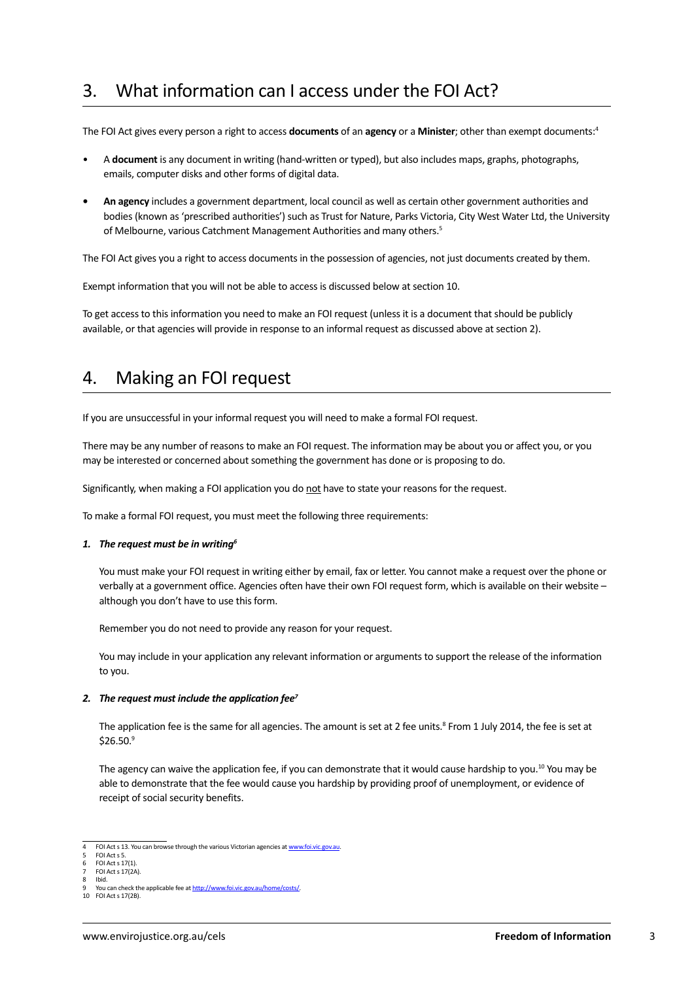## 3. What information can I access under the FOI Act?

The FOI Act gives every person a right to access **documents** of an **agency** or a **Minister**; other than exempt documents:4

- A **document** is any document in writing (hand-written or typed), but also includes maps, graphs, photographs, emails, computer disks and other forms of digital data.
- **• An agency** includes a government department, local council as well as certain other government authorities and bodies (known as 'prescribed authorities') such as Trust for Nature, Parks Victoria, City West Water Ltd, the University of Melbourne, various Catchment Management Authorities and many others.<sup>5</sup>

The FOI Act gives you a right to access documents in the possession of agencies, not just documents created by them.

Exempt information that you will not be able to access is discussed below at section 10.

To get access to this information you need to make an FOI request (unless it is a document that should be publicly available, or that agencies will provide in response to an informal request as discussed above at section 2).

#### 4. Making an FOI request

If you are unsuccessful in your informal request you will need to make a formal FOI request.

There may be any number of reasons to make an FOI request. The information may be about you or affect you, or you may be interested or concerned about something the government has done or is proposing to do.

Significantly, when making a FOI application you do not have to state your reasons for the request.

To make a formal FOI request, you must meet the following three requirements:

#### *1. The request must be in writing6*

You must make your FOI request in writing either by email, fax or letter. You cannot make a request over the phone or verbally at a government office. Agencies often have their own FOI request form, which is available on their website – although you don't have to use this form.

Remember you do not need to provide any reason for your request.

You may include in your application any relevant information or arguments to support the release of the information to you.

#### *2. The request must include the application fee7*

The application fee is the same for all agencies. The amount is set at 2 fee units.<sup>8</sup> From 1 July 2014, the fee is set at  $$26.50.<sup>9</sup>$ 

The agency can waive the application fee, if you can demonstrate that it would cause hardship to you.<sup>10</sup> You may be able to demonstrate that the fee would cause you hardship by providing proof of unemployment, or evidence of receipt of social security benefits.

<sup>4</sup> FOI Act s 13. You can browse through the various Victorian agencies at [www.foi.vic.gov.au.](file:///F:/Education%20and%20outreach/Publications/Fact%20Sheets/FOI/Current/www.foi.vic.gov.au)

<sup>5</sup> FOI Act s 5. FOI Act s 17(1)

**FOI Act s 17(2A)** 

Ibid.

You can check the applicable fee at http://www.foi.vic.gov.au/home/costs/ 10 FOI Act s 17(2B).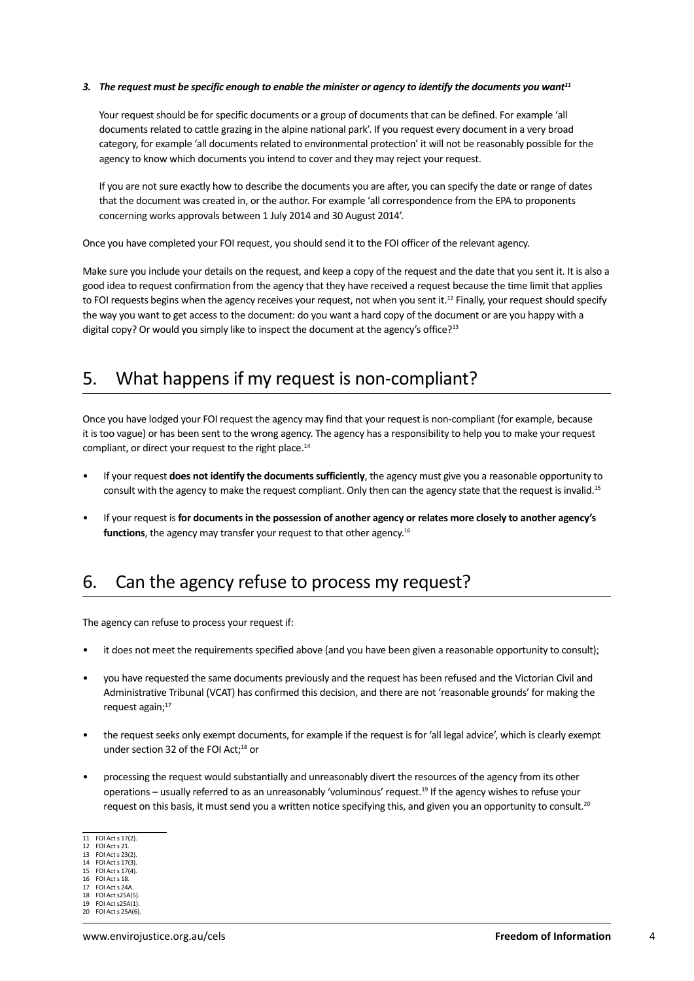#### *3. The request must be specific enough to enable the minister or agency to identify the documents you want11*

Your request should be for specific documents or a group of documents that can be defined. For example 'all documents related to cattle grazing in the alpine national park'. If you request every document in a very broad category, for example 'all documents related to environmental protection' it will not be reasonably possible for the agency to know which documents you intend to cover and they may reject your request.

If you are not sure exactly how to describe the documents you are after, you can specify the date or range of dates that the document was created in, or the author. For example 'all correspondence from the EPA to proponents concerning works approvals between 1 July 2014 and 30 August 2014'.

Once you have completed your FOI request, you should send it to the FOI officer of the relevant agency.

Make sure you include your details on the request, and keep a copy of the request and the date that you sent it. It is also a good idea to request confirmation from the agency that they have received a request because the time limit that applies to FOI requests begins when the agency receives your request, not when you sent it.<sup>12</sup> Finally, your request should specify the way you want to get access to the document: do you want a hard copy of the document or are you happy with a digital copy? Or would you simply like to inspect the document at the agency's office?<sup>13</sup>

### 5. What happens if my request is non-compliant?

Once you have lodged your FOI request the agency may find that your request is non-compliant (for example, because it is too vague) or has been sent to the wrong agency. The agency has a responsibility to help you to make your request compliant, or direct your request to the right place.<sup>14</sup>

- If your request **does not identify the documents sufficiently**, the agency must give you a reasonable opportunity to consult with the agency to make the request compliant. Only then can the agency state that the request is invalid.15
- If your request is **for documents in the possession of another agency or relates more closely to another agency's functions**, the agency may transfer your request to that other agency.<sup>16</sup>

#### 6. Can the agency refuse to process my request?

The agency can refuse to process your request if:

- it does not meet the requirements specified above (and you have been given a reasonable opportunity to consult);
- you have requested the same documents previously and the request has been refused and the Victorian Civil and Administrative Tribunal (VCAT) has confirmed this decision, and there are not 'reasonable grounds' for making the request again;<sup>17</sup>
- the request seeks only exempt documents, for example if the request is for 'all legal advice', which is clearly exempt under section 32 of the FOI Act;<sup>18</sup> or
- processing the request would substantially and unreasonably divert the resources of the agency from its other operations – usually referred to as an unreasonably 'voluminous' request.<sup>19</sup> If the agency wishes to refuse your request on this basis, it must send you a written notice specifying this, and given you an opportunity to consult.<sup>20</sup>

- 14 FOI Act s 17(3).
- 15 FOI Act s 17(4).
- 16 FOI Act s 18. 17 FOI Act s 24A.
- FOI Act s25A(5)

<sup>11</sup> FOI Act s 17(2).

<sup>12</sup> FOI Act s 21. 13 FOI Act s 23(2).

<sup>19</sup> FOI Act s25A(1).

<sup>20</sup> FOI Act s 25A(6).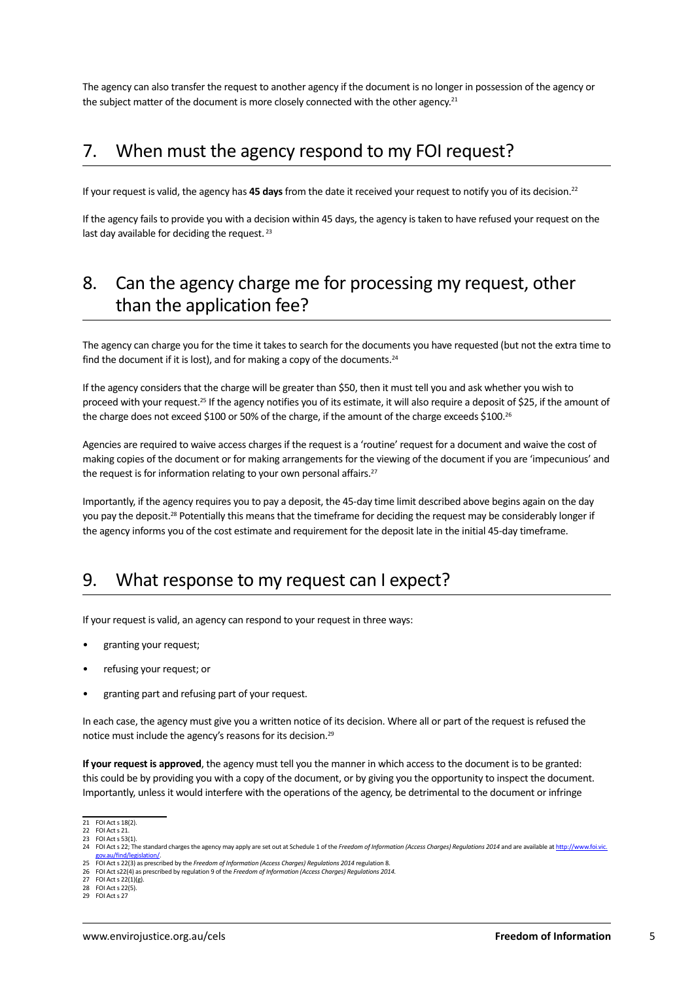The agency can also transfer the request to another agency if the document is no longer in possession of the agency or the subject matter of the document is more closely connected with the other agency.<sup>21</sup>

#### 7. When must the agency respond to my FOI request?

If your request is valid, the agency has **45 days** from the date it received your request to notify you of its decision.22

If the agency fails to provide you with a decision within 45 days, the agency is taken to have refused your request on the last day available for deciding the request.<sup>23</sup>

## 8. Can the agency charge me for processing my request, other than the application fee?

The agency can charge you for the time it takes to search for the documents you have requested (but not the extra time to find the document if it is lost), and for making a copy of the documents.<sup>24</sup>

If the agency considers that the charge will be greater than \$50, then it must tell you and ask whether you wish to proceed with your request.25 If the agency notifies you of its estimate, it will also require a deposit of \$25, if the amount of the charge does not exceed \$100 or 50% of the charge, if the amount of the charge exceeds \$100.<sup>26</sup>

Agencies are required to waive access charges if the request is a 'routine' request for a document and waive the cost of making copies of the document or for making arrangements for the viewing of the document if you are 'impecunious' and the request is for information relating to your own personal affairs.<sup>27</sup>

Importantly, if the agency requires you to pay a deposit, the 45-day time limit described above begins again on the day you pay the deposit.<sup>28</sup> Potentially this means that the timeframe for deciding the request may be considerably longer if the agency informs you of the cost estimate and requirement for the deposit late in the initial 45-day timeframe.

#### 9. What response to my request can I expect?

If your request is valid, an agency can respond to your request in three ways:

- granting your request;
- refusing your request; or
- granting part and refusing part of your request.

In each case, the agency must give you a written notice of its decision. Where all or part of the request is refused the notice must include the agency's reasons for its decision.<sup>29</sup>

**If your request is approved**, the agency must tell you the manner in which access to the document is to be granted: this could be by providing you with a copy of the document, or by giving you the opportunity to inspect the document. Importantly, unless it would interfere with the operations of the agency, be detrimental to the document or infringe

<sup>21</sup> FOI Act s 18(2).

<sup>22</sup> FOI Act s 21. 23 FOI Act s 53(1).

<sup>24</sup> FOI Act s 22; The standard charges the agency may apply are set out at Schedule 1 of the *Freedom of Information (Access Charges) Regulations 2014* and are available at [http://www.foi.vic.](http://www.foi.vic.gov.au/find/legislation/) [gov.au/find/legislation/.](http://www.foi.vic.gov.au/find/legislation/) 25 FOI Act s 22(3) as prescribed by the *Freedom of Information (Access Charges) Regulations 2014* regulation 8.

<sup>26</sup> FOI Act s22(4) as prescribed by regulation 9 of the *Freedom of Information (Access Charges) Regulations 2014.*

FOI Act s  $22(1)(g)$ .

<sup>28</sup> FOI Act s 22(5).

FOI Act s 27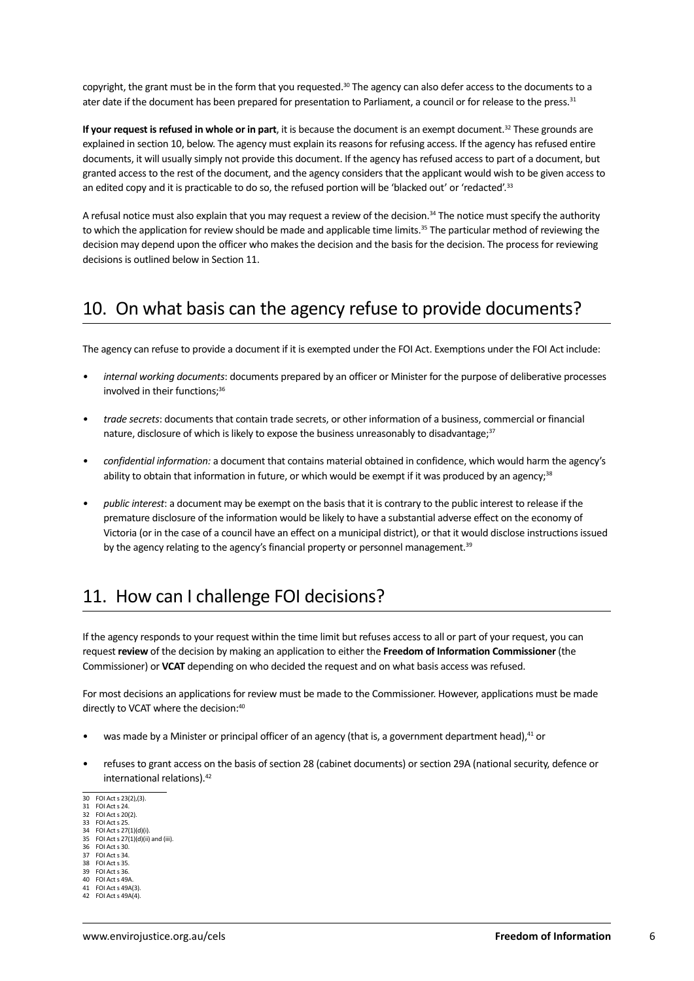copyright, the grant must be in the form that you requested.<sup>30</sup> The agency can also defer access to the documents to a ater date if the document has been prepared for presentation to Parliament, a council or for release to the press.<sup>31</sup>

**If your request is refused in whole or in part**, it is because the document is an exempt document.32 These grounds are explained in section 10, below. The agency must explain its reasons for refusing access. If the agency has refused entire documents, it will usually simply not provide this document. If the agency has refused access to part of a document, but granted access to the rest of the document, and the agency considers that the applicant would wish to be given access to an edited copy and it is practicable to do so, the refused portion will be 'blacked out' or 'redacted'.<sup>33</sup>

A refusal notice must also explain that you may request a review of the decision.<sup>34</sup> The notice must specify the authority to which the application for review should be made and applicable time limits.<sup>35</sup> The particular method of reviewing the decision may depend upon the officer who makes the decision and the basis for the decision. The process for reviewing decisions is outlined below in Section 11.

## 10. On what basis can the agency refuse to provide documents?

The agency can refuse to provide a document if it is exempted under the FOI Act. Exemptions under the FOI Act include:

- *• internal working documents*: documents prepared by an officer or Minister for the purpose of deliberative processes involved in their functions;<sup>36</sup>
- *• trade secrets*: documents that contain trade secrets, or other information of a business, commercial or financial nature, disclosure of which is likely to expose the business unreasonably to disadvantage;<sup>37</sup>
- *• confidential information:* a document that contains material obtained in confidence, which would harm the agency's ability to obtain that information in future, or which would be exempt if it was produced by an agency;<sup>38</sup>
- *• public interest*: a document may be exempt on the basis that it is contrary to the public interest to release if the premature disclosure of the information would be likely to have a substantial adverse effect on the economy of Victoria (or in the case of a council have an effect on a municipal district), or that it would disclose instructions issued by the agency relating to the agency's financial property or personnel management.<sup>39</sup>

## 11. How can I challenge FOI decisions?

If the agency responds to your request within the time limit but refuses access to all or part of your request, you can request **review** of the decision by making an application to either the **Freedom of Information Commissioner** (the Commissioner) or **VCAT** depending on who decided the request and on what basis access was refused.

For most decisions an applications for review must be made to the Commissioner. However, applications must be made directly to VCAT where the decision:<sup>40</sup>

- was made by a Minister or principal officer of an agency (that is, a government department head),<sup>41</sup> or
- refuses to grant access on the basis of section 28 (cabinet documents) or section 29A (national security, defence or international relations).42
- 30 FOI Act s 23(2),(3).
- 31 FOI Act s 24. 32 FOI Act s 20(2).
- 33 FOI Act s 25.
- 34 FOI Act s 27(1)(d)(i).<br>35 FOI Act s 27(1)(d)(ii).
- 35 FOI Act s  $27(1)(d)(ii)$  and (iii).<br>36 FOI Act s 30. FOI Act s 30.
- 37 FOI Act s 34.
- 38 FOI Act s 35.<br>39 FOI Act s 36
- 39 FOI Act s 36. FOI Act s 49A
- 41 FOI Act s 49A(3).
- 42 FOI Act s 49A(4).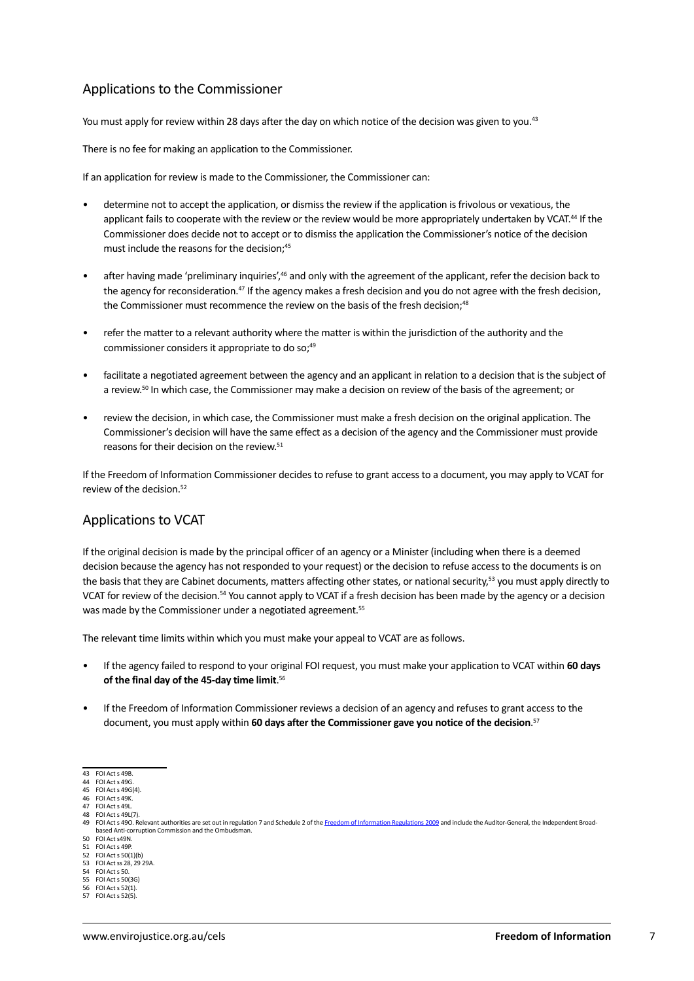#### Applications to the Commissioner

You must apply for review within 28 days after the day on which notice of the decision was given to you.<sup>43</sup>

There is no fee for making an application to the Commissioner.

If an application for review is made to the Commissioner, the Commissioner can:

- determine not to accept the application, or dismiss the review if the application is frivolous or vexatious, the applicant fails to cooperate with the review or the review would be more appropriately undertaken by VCAT.<sup>44</sup> If the Commissioner does decide not to accept or to dismiss the application the Commissioner's notice of the decision must include the reasons for the decision;<sup>45</sup>
- after having made 'preliminary inquiries',<sup>46</sup> and only with the agreement of the applicant, refer the decision back to the agency for reconsideration.47 If the agency makes a fresh decision and you do not agree with the fresh decision, the Commissioner must recommence the review on the basis of the fresh decision;<sup>48</sup>
- refer the matter to a relevant authority where the matter is within the jurisdiction of the authority and the commissioner considers it appropriate to do so;<sup>49</sup>
- facilitate a negotiated agreement between the agency and an applicant in relation to a decision that is the subject of a review.<sup>50</sup> In which case, the Commissioner may make a decision on review of the basis of the agreement; or
- review the decision, in which case, the Commissioner must make a fresh decision on the original application. The Commissioner's decision will have the same effect as a decision of the agency and the Commissioner must provide reasons for their decision on the review.<sup>51</sup>

If the Freedom of Information Commissioner decides to refuse to grant access to a document, you may apply to VCAT for review of the decision <sup>52</sup>

#### Applications to VCAT

If the original decision is made by the principal officer of an agency or a Minister (including when there is a deemed decision because the agency has not responded to your request) or the decision to refuse access to the documents is on the basis that they are Cabinet documents, matters affecting other states, or national security,<sup>53</sup> you must apply directly to VCAT for review of the decision.54 You cannot apply to VCAT if a fresh decision has been made by the agency or a decision was made by the Commissioner under a negotiated agreement.<sup>55</sup>

The relevant time limits within which you must make your appeal to VCAT are as follows.

- If the agency failed to respond to your original FOI request, you must make your application to VCAT within 60 days **of the final day of the 45-day time limit**. 56
- If the Freedom of Information Commissioner reviews a decision of an agency and refuses to grant access to the document, you must apply within **60 days after the Commissioner gave you notice of the decision**. 57

52 FOI Act s 50(1)(b)<br>53 FOI Act ss 28, 29 53 FOI Act s  $36(1)(5)$ <br>53 FOI Act ss 28, 29 29A.

<sup>43</sup> FOI Act s 49B.

<sup>44</sup> FOI Act s 49G. 45 FOI Act s 49G(4).

FOI Act s 49K.

<sup>47</sup> FOI Act s 49L. 48 FOI Act s 49L(7).

<sup>49</sup> FOI Act s 490, Relevant authorities are set out in regulation 7 and Schedule 2 of the [Freedom of Information Regulations 2009](http://www.austlii.edu.au/au/legis/vic/consol_reg/foir2009331/sch1.html) and include the Auditor-General, the Independent Broadbased Anti-corruption Commission and the Ombudsman.

<sup>50</sup> FOI Act s49N. FOI Act s 49P

<sup>54</sup> FOI Act s 50.

<sup>55</sup> FOI Act s 50(3G)<br>56 FOI Act s 52(1). 56 FOI Act s 52(1).

 $FOL Act S 52(5).$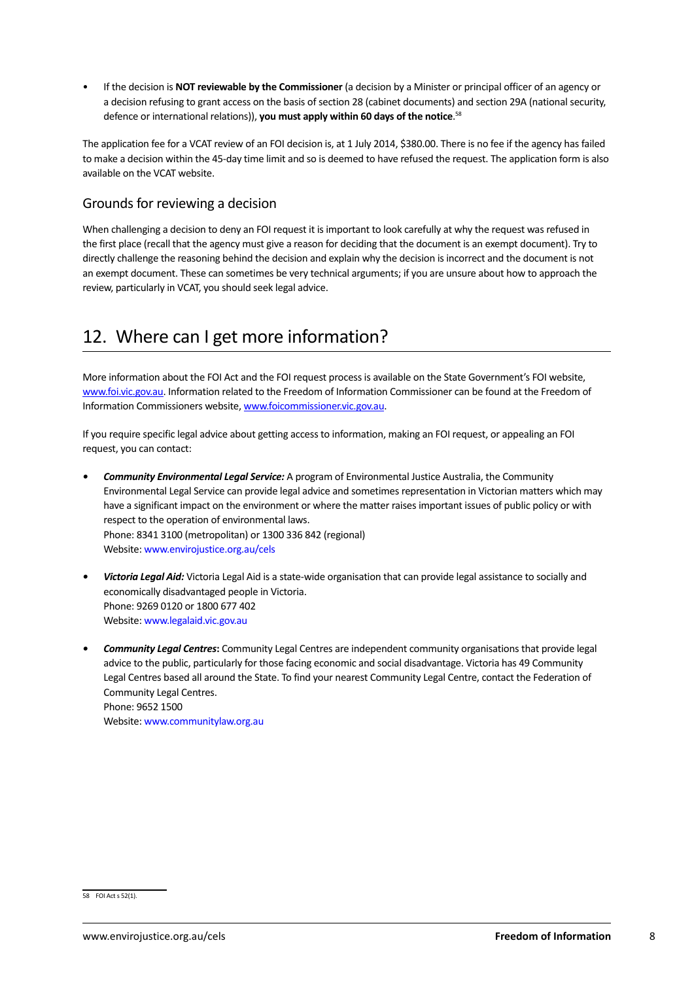If the decision is **NOT reviewable by the Commissioner** (a decision by a Minister or principal officer of an agency or a decision refusing to grant access on the basis of section 28 (cabinet documents) and section 29A (national security, defence or international relations)), **you must apply within 60 days of the notice**. 58

The application fee for a VCAT review of an FOI decision is, at 1 July 2014, \$380.00. There is no fee if the agency has failed to make a decision within the 45-day time limit and so is deemed to have refused the request. The application form is also available on the VCAT website.

#### Grounds for reviewing a decision

When challenging a decision to deny an FOI request it is important to look carefully at why the request was refused in the first place (recall that the agency must give a reason for deciding that the document is an exempt document). Try to directly challenge the reasoning behind the decision and explain why the decision is incorrect and the document is not an exempt document. These can sometimes be very technical arguments; if you are unsure about how to approach the review, particularly in VCAT, you should seek legal advice.

## 12. Where can I get more information?

More information about the FOI Act and the FOI request process is available on the State Government's FOI website, w[ww.foi.vic.gov.au.](http://www.foi.vic.gov.au) Information related to the Freedom of Information Commissioner can be found at the Freedom of Information Commissioners website, w[ww.foicommissioner.vic.gov.au.](http://www.foicommissioner.vic.gov.au/)

If you require specific legal advice about getting access to information, making an FOI request, or appealing an FOI request, you can contact:

- *Community Environmental Legal Service: A program of Environmental Justice Australia, the Community* Environmental Legal Service can provide legal advice and sometimes representation in Victorian matters which may have a significant impact on the environment or where the matter raises important issues of public policy or with respect to the operation of environmental laws. Phone: 8341 3100 (metropolitan) or 1300 336 842 (regional) Website: www.envirojustice.org.au/cels
- *Victoria Legal Aid:* Victoria Legal Aid is a state-wide organisation that can provide legal assistance to socially and economically disadvantaged people in Victoria. Phone: 9269 0120 or 1800 677 402 Website: [www.legalaid.vic.gov.au](http://www.legalaid.vic.gov.au)
- *• Community Legal Centres***:** Community Legal Centres are independent community organisations that provide legal advice to the public, particularly for those facing economic and social disadvantage. Victoria has 49 Community Legal Centres based all around the State. To find your nearest Community Legal Centre, contact the Federation of Community Legal Centres. Phone: 9652 1500 Website: [www.communitylaw.org.au](http://www.communitylaw.org.au)

<sup>58</sup> FOI Act s 52(1).